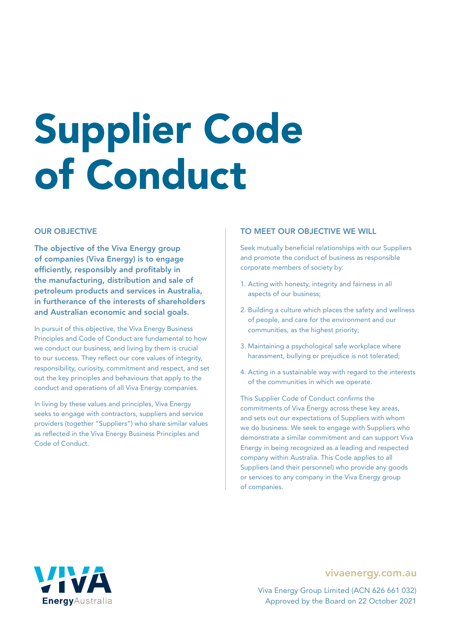# Supplier Code of Conduct

### OUR OBJECTIVE

The objective of the Viva Energy group of companies (Viva Energy) is to engage efficiently, responsibly and profitably in the manufacturing, distribution and sale of petroleum products and services in Australia, in furtherance of the interests of shareholders and Australian economic and social goals.

In pursuit of this objective, the Viva Energy Business Principles and Code of Conduct are fundamental to how we conduct our business, and living by them is crucial to our success. They reflect our core values of integrity, responsibility, curiosity, commitment and respect, and set out the key principles and behaviours that apply to the conduct and operations of all Viva Energy companies.

In living by these values and principles, Viva Energy seeks to engage with contractors, suppliers and service providers (together "Suppliers") who share similar values as reflected in the Viva Energy Business Principles and Code of Conduct.

### TO MEET OUR OBJECTIVE WE WILL

Seek mutually beneficial relationships with our Suppliers and promote the conduct of business as responsible corporate members of society by:

- 1. Acting with honesty, integrity and fairness in all aspects of our business;
- 2. Building a culture which places the safety and wellness of people, and care for the environment and our communities, as the highest priority;
- 3. Maintaining a psychological safe workplace where harassment, bullying or prejudice is not tolerated;
- 4. Acting in a sustainable way with regard to the interests of the communities in which we operate.

This Supplier Code of Conduct confirms the commitments of Viva Energy across these key areas, and sets out our expectations of Suppliers with whom we do business. We seek to engage with Suppliers who demonstrate a similar commitment and can support Viva Energy in being recognized as a leading and respected company within Australia. This Code applies to all Suppliers (and their personnel) who provide any goods or services to any company in the Viva Energy group of companies.



### vivaenergy.com.au

Viva Energy Group Limited (ACN 626 661 032) Approved by the Board on 22 October 2021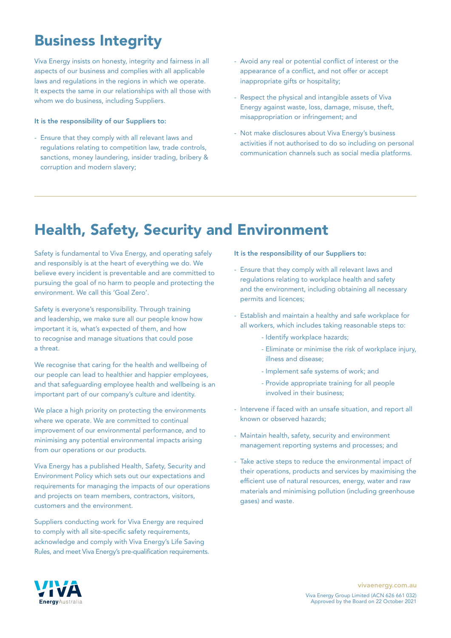# Business Integrity

Viva Energy insists on honesty, integrity and fairness in all aspects of our business and complies with all applicable laws and regulations in the regions in which we operate. It expects the same in our relationships with all those with whom we do business, including Suppliers.

#### It is the responsibility of our Suppliers to:

- Ensure that they comply with all relevant laws and regulations relating to competition law, trade controls, sanctions, money laundering, insider trading, bribery & corruption and modern slavery;
- Avoid any real or potential conflict of interest or the appearance of a conflict, and not offer or accept inappropriate gifts or hospitality;
- Respect the physical and intangible assets of Viva Energy against waste, loss, damage, misuse, theft, misappropriation or infringement; and
- Not make disclosures about Viva Energy's business activities if not authorised to do so including on personal communication channels such as social media platforms.

### Health, Safety, Security and Environment

Safety is fundamental to Viva Energy, and operating safely and responsibly is at the heart of everything we do. We believe every incident is preventable and are committed to pursuing the goal of no harm to people and protecting the environment. We call this 'Goal Zero'.

Safety is everyone's responsibility. Through training and leadership, we make sure all our people know how important it is, what's expected of them, and how to recognise and manage situations that could pose a threat.

We recognise that caring for the health and wellbeing of our people can lead to healthier and happier employees, and that safeguarding employee health and wellbeing is an important part of our company's culture and identity.

We place a high priority on protecting the environments where we operate. We are committed to continual improvement of our environmental performance, and to minimising any potential environmental impacts arising from our operations or our products.

Viva Energy has a published Health, Safety, Security and Environment Policy which sets out our expectations and requirements for managing the impacts of our operations and projects on team members, contractors, visitors, customers and the environment.

Suppliers conducting work for Viva Energy are required to comply with all site-specific safety requirements, acknowledge and comply with Viva Energy's Life Saving Rules, and meet Viva Energy's pre-qualification requirements. It is the responsibility of our Suppliers to:

- Ensure that they comply with all relevant laws and regulations relating to workplace health and safety and the environment, including obtaining all necessary permits and licences;
- Establish and maintain a healthy and safe workplace for all workers, which includes taking reasonable steps to:
	- Identify workplace hazards;
	- Eliminate or minimise the risk of workplace injury, illness and disease;
	- Implement safe systems of work; and
	- Provide appropriate training for all people involved in their business;
- Intervene if faced with an unsafe situation, and report all known or observed hazards;
- Maintain health, safety, security and environment management reporting systems and processes; and
- Take active steps to reduce the environmental impact of their operations, products and services by maximising the efficient use of natural resources, energy, water and raw materials and minimising pollution (including greenhouse gases) and waste.

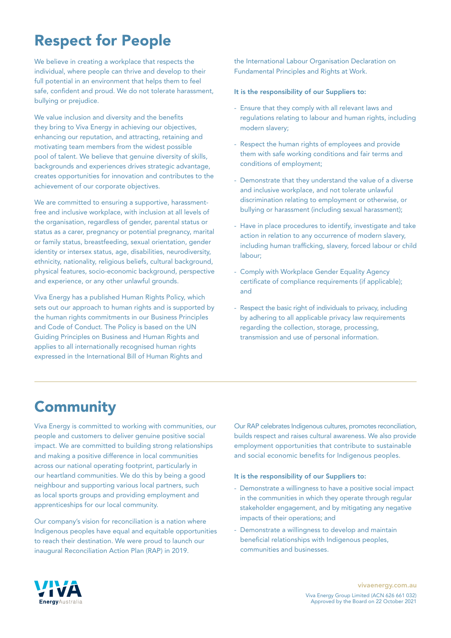# Respect for People

We believe in creating a workplace that respects the individual, where people can thrive and develop to their full potential in an environment that helps them to feel safe, confident and proud. We do not tolerate harassment, bullying or prejudice.

We value inclusion and diversity and the benefits they bring to Viva Energy in achieving our objectives, enhancing our reputation, and attracting, retaining and motivating team members from the widest possible pool of talent. We believe that genuine diversity of skills, backgrounds and experiences drives strategic advantage, creates opportunities for innovation and contributes to the achievement of our corporate objectives.

We are committed to ensuring a supportive, harassmentfree and inclusive workplace, with inclusion at all levels of the organisation, regardless of gender, parental status or status as a carer, pregnancy or potential pregnancy, marital or family status, breastfeeding, sexual orientation, gender identity or intersex status, age, disabilities, neurodiversity, ethnicity, nationality, religious beliefs, cultural background, physical features, socio-economic background, perspective and experience, or any other unlawful grounds.

Viva Energy has a published Human Rights Policy, which sets out our approach to human rights and is supported by the human rights commitments in our Business Principles and Code of Conduct. The Policy is based on the UN Guiding Principles on Business and Human Rights and applies to all internationally recognised human rights expressed in the International Bill of Human Rights and

the International Labour Organisation Declaration on Fundamental Principles and Rights at Work.

### It is the responsibility of our Suppliers to:

- Ensure that they comply with all relevant laws and regulations relating to labour and human rights, including modern slavery;
- Respect the human rights of employees and provide them with safe working conditions and fair terms and conditions of employment;
- Demonstrate that they understand the value of a diverse and inclusive workplace, and not tolerate unlawful discrimination relating to employment or otherwise, or bullying or harassment (including sexual harassment);
- Have in place procedures to identify, investigate and take action in relation to any occurrence of modern slavery, including human trafficking, slavery, forced labour or child labour;
- Comply with Workplace Gender Equality Agency certificate of compliance requirements (if applicable); and
- Respect the basic right of individuals to privacy, including by adhering to all applicable privacy law requirements regarding the collection, storage, processing, transmission and use of personal information.

## **Community**

Viva Energy is committed to working with communities, our people and customers to deliver genuine positive social impact. We are committed to building strong relationships and making a positive difference in local communities across our national operating footprint, particularly in our heartland communities. We do this by being a good neighbour and supporting various local partners, such as local sports groups and providing employment and apprenticeships for our local community.

Our company's vision for reconciliation is a nation where Indigenous peoples have equal and equitable opportunities to reach their destination. We were proud to launch our inaugural Reconciliation Action Plan (RAP) in 2019.

Our RAP celebrates Indigenous cultures, promotes reconciliation, builds respect and raises cultural awareness. We also provide employment opportunities that contribute to sustainable and social economic benefits for Indigenous peoples.

### It is the responsibility of our Suppliers to:

- Demonstrate a willingness to have a positive social impact in the communities in which they operate through regular stakeholder engagement, and by mitigating any negative impacts of their operations; and
- Demonstrate a willingness to develop and maintain beneficial relationships with Indigenous peoples, communities and businesses.